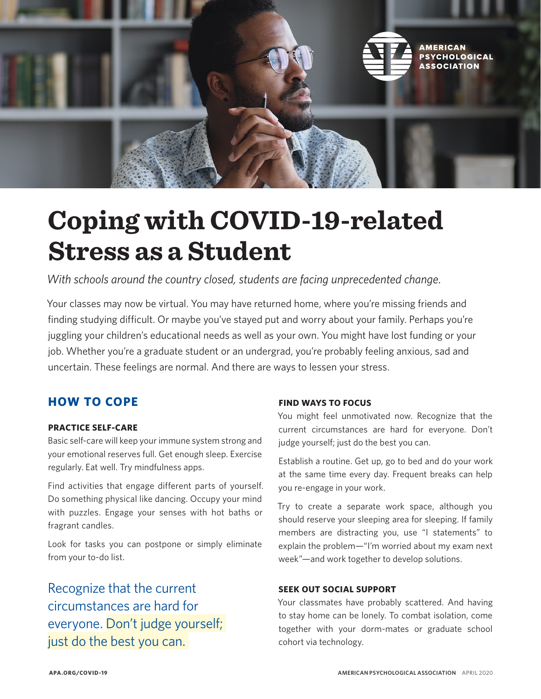

# **Coping with COVID-19-related Stress as a Student**

*With schools around the country closed, students are facing unprecedented change.* 

Your classes may now be virtual. You may have returned home, where you're missing friends and finding studying difficult. Or maybe you've stayed put and worry about your family. Perhaps you're juggling your children's educational needs as well as your own. You might have lost funding or your job. Whether you're a graduate student or an undergrad, you're probably feeling anxious, sad and uncertain. These feelings are normal. And there are ways to lessen your stress.

# **HOW TO COPE**

# **PRACTICE SELF-CARE**

Basic self-care will keep your immune system strong and your emotional reserves full. Get enough sleep. Exercise regularly. Eat well. Try mindfulness apps.

Find activities that engage different parts of yourself. Do something physical like dancing. Occupy your mind with puzzles. Engage your senses with hot baths or fragrant candles.

Look for tasks you can postpone or simply eliminate from your to-do list.

Recognize that the current circumstances are hard for everyone. Don't judge yourself; just do the best you can.

# **FIND WAYS TO FOCUS**

You might feel unmotivated now. Recognize that the current circumstances are hard for everyone. Don't judge yourself; just do the best you can.

Establish a routine. Get up, go to bed and do your work at the same time every day. Frequent breaks can help you re-engage in your work.

Try to create a separate work space, although you should reserve your sleeping area for sleeping. If family members are distracting you, use "I statements" to explain the problem—"I'm worried about my exam next week"—and work together to develop solutions.

# **SEEK OUT SOCIAL SUPPORT**

Your classmates have probably scattered. And having to stay home can be lonely. To combat isolation, come together with your dorm-mates or graduate school cohort via technology.